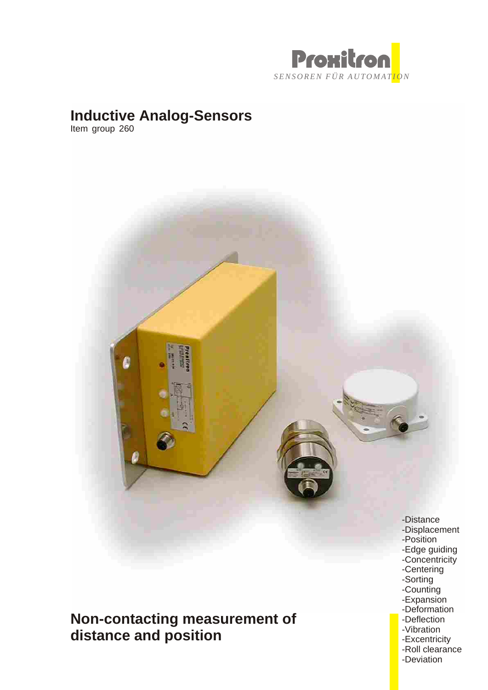

# **Inductive Analog-Sensors**

Item group 260



**Non-contacting measurement of distance and position**

- 
- -Sorting
- -Counting -Expansion
- -Deformation
- -Deflection
- -Vibration
- -Excentricity
- -Roll clearance
- -Deviation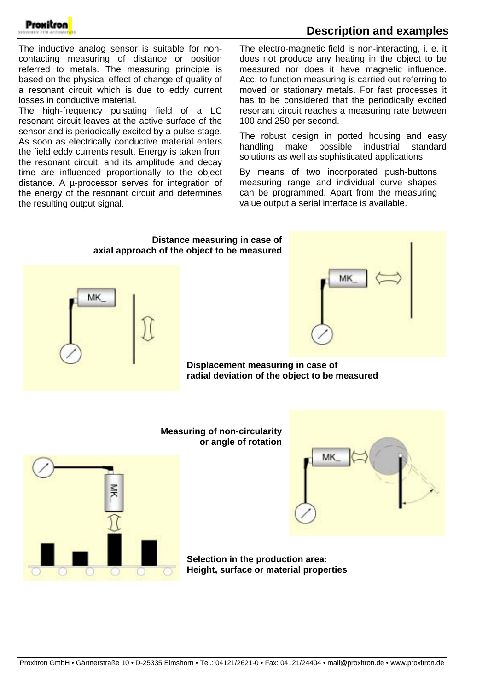

## **Description and examples**

The inductive analog sensor is suitable for noncontacting measuring of distance or position referred to metals. The measuring principle is based on the physical effect of change of quality of a resonant circuit which is due to eddy current losses in conductive material.

The high-frequency pulsating field of a LC resonant circuit leaves at the active surface of the sensor and is periodically excited by a pulse stage. As soon as electrically conductive material enters the field eddy currents result. Energy is taken from the resonant circuit, and its amplitude and decay time are influenced proportionally to the object distance. A µ-processor serves for integration of the energy of the resonant circuit and determines the resulting output signal.

The electro-magnetic field is non-interacting, i. e. it does not produce any heating in the object to be measured nor does it have magnetic influence. Acc. to function measuring is carried out referring to moved or stationary metals. For fast processes it has to be considered that the periodically excited resonant circuit reaches a measuring rate between 100 and 250 per second.

The robust design in potted housing and easy handling make possible industrial standard solutions as well as sophisticated applications.

By means of two incorporated push-buttons measuring range and individual curve shapes can be programmed. Apart from the measuring value output a serial interface is available.

## **Distance measuring in case of axial approach of the object to be measured**





**Displacement measuring in case of radial deviation of the object to be measured**



**Measuring of non-circularity or angle of rotation**



**Selection in the production area: Height, surface or material properties**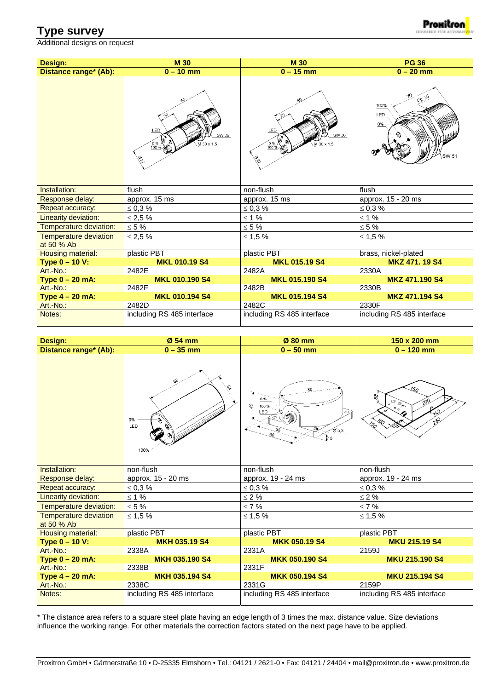## **Type survey**

Additional designs on request



| Design:                                    | <b>M30</b>                                                        | <b>M30</b>                                        | <b>PG 36</b>                                      |  |
|--------------------------------------------|-------------------------------------------------------------------|---------------------------------------------------|---------------------------------------------------|--|
| Distance range <sup>*</sup> (Ab):          | $0 - 10$ mm                                                       | $0 - 15$ mm                                       | $0 - 20$ mm                                       |  |
|                                            | -29<br>LED<br>SW 36<br>$M$ 30 $\times$ 1.5<br>$\frac{0\%}{100\%}$ | LED<br>SW 36<br>M 30 x 1.5<br>$\frac{0\%}{100\%}$ | $60\frac{36}{5}$<br>100%<br>LED<br>$0\%$<br>SW 51 |  |
| Installation:                              | flush                                                             | non-flush                                         | flush                                             |  |
| Response delay:                            | approx. 15 ms                                                     | approx. 15 ms                                     | approx. 15 - 20 ms                                |  |
| Repeat accuracy:                           | $\leq 0.3 \%$                                                     | $\leq 0.3$ %                                      | $\leq 0.3 \%$                                     |  |
| Linearity deviation:                       | $\leq$ 2,5 %                                                      | $≤ 1 %$                                           | $≤ 1 %$                                           |  |
| Temperature deviation:                     | $\leq 5\%$                                                        | $\leq 5\%$                                        | $\leq 5\%$                                        |  |
| <b>Temperature deviation</b><br>at 50 % Ab | $\leq$ 2,5%                                                       | ≤ 1,5%                                            | $\leq$ 1,5 %                                      |  |
| <b>Housing material:</b>                   | plastic PBT                                                       | plastic PBT                                       | brass, nickel-plated                              |  |
| Type $0 - 10 V$ :                          | <b>MKL 010.19 S4</b>                                              | <b>MKL 015.19 S4</b>                              | <b>MKZ 471, 19 S4</b>                             |  |
| Art.-No.:                                  | 2482E                                                             | 2482A                                             | 2330A                                             |  |
| Type $0 - 20$ mA:                          | <b>MKL 010.190 S4</b>                                             | <b>MKL 015.190 S4</b>                             | <b>MKZ 471.190 S4</b>                             |  |
| Art.-No.:                                  | 2482F                                                             | 2482B                                             | 2330B                                             |  |
| Type $4 - 20$ mA:                          | <b>MKL 010.194 S4</b>                                             | <b>MKL 015.194 S4</b>                             | MKZ 471.194 S4                                    |  |
| Art.-No.:                                  | 2482D                                                             | 2482C                                             | 2330F                                             |  |
| Notes:                                     | including RS 485 interface                                        | including RS 485 interface                        | including RS 485 interface                        |  |

| <b>Design:</b>                             | Ø 54 mm                       | Ø 80 mm                                                                                              | 150 x 200 mm                                                                                                  |  |
|--------------------------------------------|-------------------------------|------------------------------------------------------------------------------------------------------|---------------------------------------------------------------------------------------------------------------|--|
| Distance range* (Ab):                      | $0 - 35$ mm                   | $0 - 50$ mm                                                                                          | $0 - 120$ mm                                                                                                  |  |
|                                            | დზ<br>ç,<br>0%<br>LED<br>100% | 80<br>0%<br>$\mathcal{O}$<br>100%<br>LED<br>Ó<br>$\cancel{\emptyset}$ 5,3<br>80<br>$\mathbf{r}_{10}$ | $\mathcal{Z}_{\Omega}$<br>8<br>$20^{0}$<br>$\mathrel{<_{\mathbb{Q}}}$<br>280<br>$\mathcal{Z}_{\!\mathcal{C}}$ |  |
| Installation:                              | non-flush                     | non-flush                                                                                            | non-flush                                                                                                     |  |
| Response delay:                            | approx. 15 - 20 ms            | approx. 19 - 24 ms                                                                                   | approx. 19 - 24 ms                                                                                            |  |
| Repeat accuracy:                           | $\leq 0.3 \%$                 | $\leq 0.3 \%$                                                                                        | $\leq 0.3 \%$                                                                                                 |  |
| Linearity deviation:                       | $\leq$ 1 %                    | $\leq 2\%$                                                                                           | $\leq 2\%$                                                                                                    |  |
| Temperature deviation:                     | $\leq 5$ %                    | $\leq 7$ %                                                                                           | $\leq 7$ %                                                                                                    |  |
| <b>Temperature deviation</b><br>at 50 % Ab | $≤ 1,5%$                      | $≤ 1.5%$                                                                                             | $≤ 1.5%$                                                                                                      |  |
| <b>Housing material:</b>                   | plastic PBT                   | plastic PBT                                                                                          | plastic PBT                                                                                                   |  |
| Type 0 - 10 V:                             | <b>MKH 035.19 S4</b>          | <b>MKK 050.19 S4</b>                                                                                 | <b>MKU 215.19 S4</b>                                                                                          |  |
| Art.-No.:                                  | 2338A                         | 2331A                                                                                                | 2159J                                                                                                         |  |
| Type $0 - 20$ mA:                          | <b>MKH 035.190 S4</b>         | <b>MKK 050.190 S4</b>                                                                                | <b>MKU 215.190 S4</b>                                                                                         |  |
| Art.-No.:                                  | 2338B                         | 2331F                                                                                                |                                                                                                               |  |
| Type $4 - 20$ mA:                          | <b>MKH 035.194 S4</b>         | <b>MKK 050.194 S4</b>                                                                                | <b>MKU 215.194 S4</b>                                                                                         |  |
| Art.-No.:                                  | 2338C                         | 2331G                                                                                                | 2159P                                                                                                         |  |
| Notes:                                     | including RS 485 interface    | including RS 485 interface                                                                           | including RS 485 interface                                                                                    |  |

\* The distance area refers to a square steel plate having an edge length of 3 times the max. distance value. Size deviations influence the working range. For other materials the correction factors stated on the next page have to be applied.